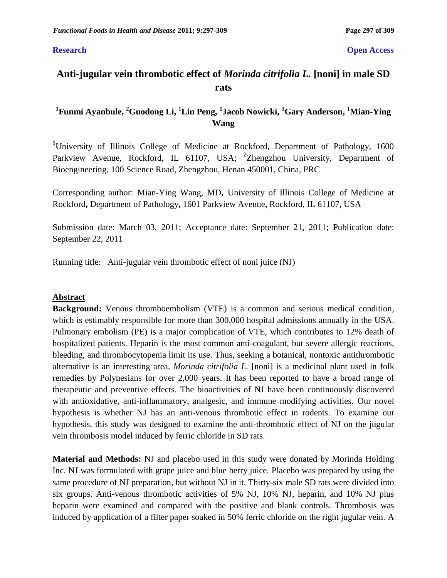#### **Research Open Access**

# **Anti-jugular vein thrombotic effect of** *Morinda citrifolia L.* **[noni] in male SD rats**

## **1 Funmi Ayanbule, <sup>2</sup>Guodong Li, <sup>1</sup>Lin Peng, <sup>1</sup> Jacob Nowicki, <sup>1</sup>Gary Anderson, <sup>1</sup>Mian-Ying Wang**

**<sup>1</sup>**University of Illinois College of Medicine at Rockford, Department of Pathology, 1600 Parkview Avenue, Rockford, IL 61107, USA; <sup>2</sup>Zhengzhou University, Department of Bioengineering, 100 Science Road, Zhengzhou, Henan 450001, China, PRC

Corresponding author: Mian-Ying Wang, MD**,** University of Illinois College of Medicine at Rockford**,** Department of Pathology**,** 1601 Parkview Avenue**,** Rockford, IL 61107, USA

Submission date: March 03, 2011; Acceptance date: September 21, 2011; Publication date: September 22, 2011

Running title:Anti-jugular vein thrombotic effect of noni juice (NJ)

### **Abstract**

**Background:** Venous thromboembolism (VTE) is a common and serious medical condition, which is estimably responsible for more than 300,000 hospital admissions annually in the USA. Pulmonary embolism (PE) is a major complication of VTE, which contributes to 12% death of hospitalized patients. Heparin is the most common anti-coagulant, but severe allergic reactions, bleeding, and thrombocytopenia limit its use. Thus, seeking a botanical, nontoxic antithrombotic alternative is an interesting area. *Morinda citrifolia L.* [noni] is a medicinal plant used in folk remedies by Polynesians for over 2,000 years. It has been reported to have a broad range of therapeutic and preventive effects. The bioactivities of NJ have been continuously discovered with antioxidative, anti-inflammatory, analgesic, and immune modifying activities. Our novel hypothesis is whether NJ has an anti-venous thrombotic effect in rodents. To examine our hypothesis, this study was designed to examine the anti-thrombotic effect of NJ on the jugular vein thrombosis model induced by ferric chloride in SD rats.

**Material and Methods:** NJ and placebo used in this study were donated by Morinda Holding Inc. NJ was formulated with grape juice and blue berry juice. Placebo was prepared by using the same procedure of NJ preparation, but without NJ in it. Thirty-six male SD rats were divided into six groups. Anti-venous thrombotic activities of 5% NJ, 10% NJ, heparin, and 10% NJ plus heparin were examined and compared with the positive and blank controls. Thrombosis was induced by application of a filter paper soaked in 50% ferric chloride on the right jugular vein. A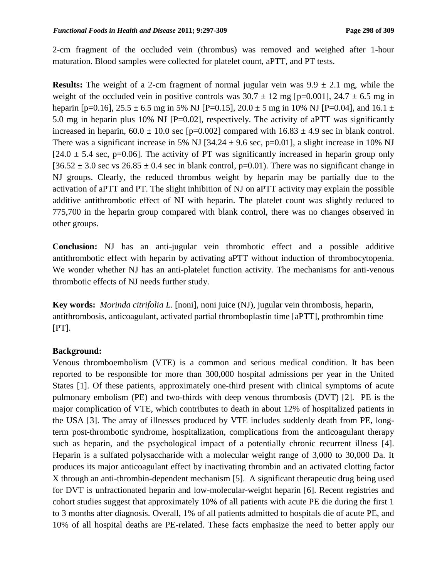2-cm fragment of the occluded vein (thrombus) was removed and weighed after 1-hour maturation. Blood samples were collected for platelet count, aPTT, and PT tests.

**Results:** The weight of a 2-cm fragment of normal jugular vein was  $9.9 \pm 2.1$  mg, while the weight of the occluded vein in positive controls was  $30.7 \pm 12$  mg [p=0.001],  $24.7 \pm 6.5$  mg in heparin [p=0.16],  $25.5 \pm 6.5$  mg in 5% NJ [P=0.15],  $20.0 \pm 5$  mg in 10% NJ [P=0.04], and 16.1  $\pm$ 5.0 mg in heparin plus 10% NJ [P=0.02], respectively. The activity of aPTT was significantly increased in heparin,  $60.0 \pm 10.0$  sec [p=0.002] compared with  $16.83 \pm 4.9$  sec in blank control. There was a significant increase in 5% NJ [34.24  $\pm$  9.6 sec, p=0.01], a slight increase in 10% NJ  $[24.0 \pm 5.4 \text{ sec}, p=0.06]$ . The activity of PT was significantly increased in heparin group only  $[36.52 \pm 3.0 \text{ sec} \text{ vs } 26.85 \pm 0.4 \text{ sec} \text{ in blank control}, p=0.01)$ . There was no significant change in NJ groups. Clearly, the reduced thrombus weight by heparin may be partially due to the activation of aPTT and PT. The slight inhibition of NJ on aPTT activity may explain the possible additive antithrombotic effect of NJ with heparin. The platelet count was slightly reduced to 775,700 in the heparin group compared with blank control, there was no changes observed in other groups.

**Conclusion:** NJ has an anti-jugular vein thrombotic effect and a possible additive antithrombotic effect with heparin by activating aPTT without induction of thrombocytopenia. We wonder whether NJ has an anti-platelet function activity*.* The mechanisms for anti-venous thrombotic effects of NJ needs further study.

**Key words:** *Morinda citrifolia L.* [noni], noni juice (NJ), jugular vein thrombosis, heparin, antithrombosis, anticoagulant, activated partial thromboplastin time [aPTT], prothrombin time  $[PT]$ .

### **Background:**

Venous thromboembolism (VTE) is a common and serious medical condition. It has been reported to be responsible for more than 300,000 hospital admissions per year in the United States [1]. Of these patients, approximately one-third present with clinical symptoms of acute pulmonary embolism (PE) and two-thirds with deep venous thrombosis (DVT) [2]. PE is the major complication of VTE, which contributes to death in about 12% of hospitalized patients in the USA [3]. The array of illnesses produced by VTE includes suddenly death from PE, longterm post-thrombotic syndrome, hospitalization, complications from the anticoagulant therapy such as heparin, and the psychological impact of a potentially chronic recurrent illness [4]. Heparin is a sulfated polysaccharide with a molecular weight range of 3,000 to 30,000 Da. It produces its major anticoagulant effect by inactivating thrombin and an activated clotting factor X through an anti-thrombin-dependent mechanism [5]. A significant therapeutic drug being used for DVT is unfractionated heparin and low-molecular-weight heparin [6]. Recent registries and cohort studies suggest that approximately 10% of all patients with acute PE die during the first 1 to 3 months after diagnosis. Overall, 1% of all patients admitted to hospitals die of acute PE, and 10% of all hospital deaths are PE-related. These facts emphasize the need to better apply our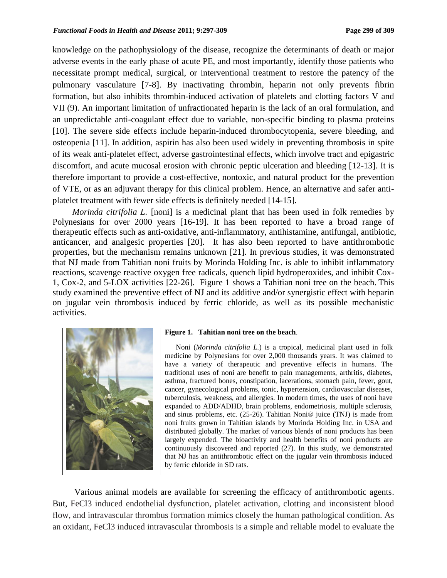knowledge on the pathophysiology of the disease, recognize the determinants of death or major adverse events in the early phase of acute PE, and most importantly, identify those patients who necessitate prompt medical, surgical, or interventional treatment to restore the patency of the pulmonary vasculature [7-8]. By inactivating thrombin, heparin not only prevents fibrin formation, but also inhibits thrombin-induced activation of platelets and clotting factors V and VII (9). An important limitation of unfractionated heparin is the lack of an oral formulation, and an unpredictable anti-coagulant effect due to variable, non-specific binding to plasma proteins [10]. The severe side effects include heparin-induced thrombocytopenia, severe bleeding, and osteopenia [11]. In addition, aspirin has also been used widely in preventing thrombosis in spite of its weak anti-platelet effect, adverse gastrointestinal effects, which involve tract and epigastric discomfort, and acute mucosal erosion with chronic peptic ulceration and bleeding [12-13]. It is therefore important to provide a cost-effective, nontoxic, and natural product for the prevention of VTE, or as an adjuvant therapy for this clinical problem. Hence, an alternative and safer antiplatelet treatment with fewer side effects is definitely needed [14-15].

*Morinda citrifolia L.* [noni] is a medicinal plant that has been used in folk remedies by Polynesians for over 2000 years [16-19]. It has been reported to have a broad range of therapeutic effects such as anti-oxidative, anti-inflammatory, antihistamine, antifungal, antibiotic, anticancer, and analgesic properties [20]. It has also been reported to have antithrombotic properties, but the mechanism remains unknown [21]. In previous studies, it was demonstrated that NJ made from Tahitian noni fruits by Morinda Holding Inc. is able to inhibit inflammatory reactions, scavenge reactive oxygen free radicals, quench lipid hydroperoxides, and inhibit Cox-1, Cox-2, and 5-LOX activities [22-26]. Figure 1 shows a Tahitian noni tree on the beach. This study examined the preventive effect of NJ and its additive and/or synergistic effect with heparin on jugular vein thrombosis induced by ferric chloride, as well as its possible mechanistic activities.



#### **Figure 1. Tahitian noni tree on the beach**.

 Noni (*Morinda citrifolia L.*) is a tropical, medicinal plant used in folk medicine by Polynesians for over 2,000 thousands years. It was claimed to have a variety of therapeutic and preventive effects in humans. The traditional uses of noni are benefit to pain managements, arthritis, diabetes, asthma, fractured bones, constipation, lacerations, stomach pain, fever, gout, cancer, gynecological problems, tonic, hypertension, cardiovascular diseases, tuberculosis, weakness, and allergies. In modern times, the uses of noni have expanded to ADD/ADHD, brain problems, endometriosis, multiple sclerosis, and sinus problems, etc. (25-26). Tahitian Noni® juice (TNJ) is made from noni fruits grown in Tahitian islands by Morinda Holding Inc. in USA and distributed globally. The market of various blends of noni products has been largely expended. The bioactivity and health benefits of noni products are continuously discovered and reported (27). In this study, we demonstrated that NJ has an antithrombotic effect on the jugular vein thrombosis induced by ferric chloride in SD rats.

 Various animal models are available for screening the efficacy of antithrombotic agents. But, FeCl3 induced endothelial dysfunction, platelet activation, clotting and inconsistent blood flow, and intravascular thrombus formation mimics closely the human pathological condition. As an oxidant, FeCl3 induced intravascular thrombosis is a simple and reliable model to evaluate the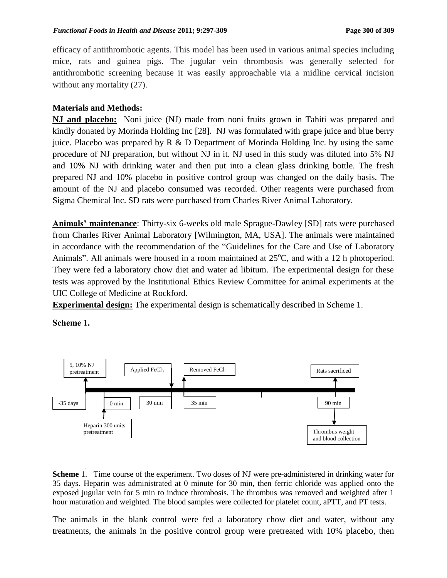efficacy of antithrombotic agents. This model has been used in various animal species including mice, rats and guinea pigs. The jugular vein thrombosis was generally selected for antithrombotic screening because it was easily approachable via a midline cervical incision without any mortality  $(27)$ .

### **Materials and Methods:**

**NJ and placebo:** Noni juice (NJ) made from noni fruits grown in Tahiti was prepared and kindly donated by Morinda Holding Inc [28]. NJ was formulated with grape juice and blue berry juice. Placebo was prepared by  $R \& D$  Department of Morinda Holding Inc. by using the same procedure of NJ preparation, but without NJ in it. NJ used in this study was diluted into 5% NJ and 10% NJ with drinking water and then put into a clean glass drinking bottle. The fresh prepared NJ and 10% placebo in positive control group was changed on the daily basis. The amount of the NJ and placebo consumed was recorded. Other reagents were purchased from Sigma Chemical Inc. SD rats were purchased from Charles River Animal Laboratory.

**Animals' maintenance**: Thirty-six 6-weeks old male Sprague-Dawley [SD] rats were purchased from Charles River Animal Laboratory [Wilmington, MA, USA]. The animals were maintained in accordance with the recommendation of the "Guidelines for the Care and Use of Laboratory Animals". All animals were housed in a room maintained at  $25^{\circ}$ C, and with a 12 h photoperiod. They were fed a laboratory chow diet and water ad libitum. The experimental design for these tests was approved by the Institutional Ethics Review Committee for animal experiments at the UIC College of Medicine at Rockford.

**Experimental design:** The experimental design is schematically described in Scheme 1.

**Scheme 1.**



**Scheme** 1. Time course of the experiment. Two doses of NJ were pre-administered in drinking water for 35 days. Heparin was administrated at 0 minute for 30 min, then ferric chloride was applied onto the exposed jugular vein for 5 min to induce thrombosis. The thrombus was removed and weighted after 1 hour maturation and weighted. The blood samples were collected for platelet count, aPTT, and PT tests.

The animals in the blank control were fed a laboratory chow diet and water, without any treatments, the animals in the positive control group were pretreated with 10% placebo, then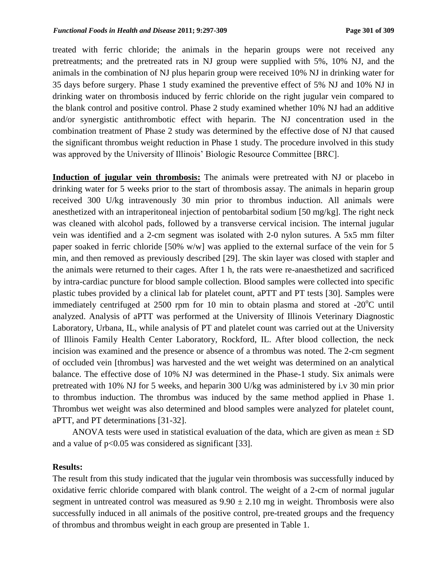treated with ferric chloride; the animals in the heparin groups were not received any pretreatments; and the pretreated rats in NJ group were supplied with 5%, 10% NJ, and the animals in the combination of NJ plus heparin group were received 10% NJ in drinking water for 35 days before surgery. Phase 1 study examined the preventive effect of 5% NJ and 10% NJ in drinking water on thrombosis induced by ferric chloride on the right jugular vein compared to the blank control and positive control. Phase 2 study examined whether 10% NJ had an additive and/or synergistic antithrombotic effect with heparin. The NJ concentration used in the combination treatment of Phase 2 study was determined by the effective dose of NJ that caused the significant thrombus weight reduction in Phase 1 study. The procedure involved in this study was approved by the University of Illinois' Biologic Resource Committee [BRC].

**Induction of jugular vein thrombosis:** The animals were pretreated with NJ or placebo in drinking water for 5 weeks prior to the start of thrombosis assay. The animals in heparin group received 300 U/kg intravenously 30 min prior to thrombus induction. All animals were anesthetized with an intraperitoneal injection of pentobarbital sodium [50 mg/kg]. The right neck was cleaned with alcohol pads, followed by a transverse cervical incision. The internal jugular vein was identified and a 2-cm segment was isolated with 2-0 nylon sutures. A 5x5 mm filter paper soaked in ferric chloride [50% w/w] was applied to the external surface of the vein for 5 min, and then removed as previously described [29]. The skin layer was closed with stapler and the animals were returned to their cages. After 1 h, the rats were re-anaesthetized and sacrificed by intra-cardiac puncture for blood sample collection. Blood samples were collected into specific plastic tubes provided by a clinical lab for platelet count, aPTT and PT tests [30]. Samples were immediately centrifuged at 2500 rpm for 10 min to obtain plasma and stored at  $-20^{\circ}$ C until analyzed. Analysis of aPTT was performed at the University of Illinois Veterinary Diagnostic Laboratory, Urbana, IL, while analysis of PT and platelet count was carried out at the University of Illinois Family Health Center Laboratory, Rockford, IL. After blood collection, the neck incision was examined and the presence or absence of a thrombus was noted. The 2-cm segment of occluded vein [thrombus] was harvested and the wet weight was determined on an analytical balance. The effective dose of 10% NJ was determined in the Phase-1 study. Six animals were pretreated with 10% NJ for 5 weeks, and heparin 300 U/kg was administered by i.v 30 min prior to thrombus induction. The thrombus was induced by the same method applied in Phase 1. Thrombus wet weight was also determined and blood samples were analyzed for platelet count, aPTT, and PT determinations [31-32].

ANOVA tests were used in statistical evaluation of the data, which are given as mean  $\pm$  SD and a value of  $p<0.05$  was considered as significant [33].

#### **Results:**

The result from this study indicated that the jugular vein thrombosis was successfully induced by oxidative ferric chloride compared with blank control. The weight of a 2-cm of normal jugular segment in untreated control was measured as  $9.90 \pm 2.10$  mg in weight. Thrombosis were also successfully induced in all animals of the positive control, pre-treated groups and the frequency of thrombus and thrombus weight in each group are presented in Table 1.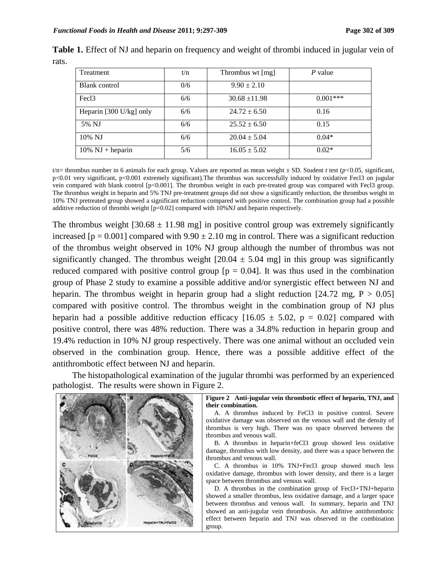| Treatment                          | t/n | Thrombus wt [mg]  | P value    |  |
|------------------------------------|-----|-------------------|------------|--|
| Blank control                      | 0/6 | $9.90 \pm 2.10$   |            |  |
| Fec <sub>13</sub>                  | 6/6 | $30.68 \pm 11.98$ | $0.001***$ |  |
| Heparin [300 U/kg] only            | 6/6 | $24.72 \pm 6.50$  | 0.16       |  |
| 5% NJ                              | 6/6 | $25.52 \pm 6.50$  | 0.15       |  |
| 10% NJ                             | 6/6 | $20.04 \pm 5.04$  | $0.04*$    |  |
| $10\% \text{ NJ} + \text{heparin}$ | 5/6 | $16.05 \pm 5.02$  | $0.02*$    |  |

**Table 1.** Effect of NJ and heparin on frequency and weight of thrombi induced in jugular vein of rats.

t/n= thrombus number in 6 animals for each group. Values are reported as mean weight  $\pm$  SD. Student *t* test ( $p$ <0.05, significant, p<0.01 very significant, p<0.001 extremely significant).The thrombus was successfully induced by oxidative Fecl3 on jugular vein compared with blank control [p<0.001]. The thrombus weight in each pre-treated group was compared with Fecl3 group. The thrombus weight in heparin and 5% TNJ pre-treatment groups did not show a significantly reduction, the thrombus weight in 10% TNJ pretreated group showed a significant reduction compared with positive control. The combination group had a possible additive reduction of thrombi weight [p=0.02] compared with 10%NJ and heparin respectively.

The thrombus weight  $[30.68 \pm 11.98 \text{ mg}]$  in positive control group was extremely significantly increased  $[p = 0.001]$  compared with  $9.90 \pm 2.10$  mg in control. There was a significant reduction of the thrombus weight observed in 10% NJ group although the number of thrombus was not significantly changed. The thrombus weight  $[20.04 \pm 5.04 \text{ mg}]$  in this group was significantly reduced compared with positive control group  $[p = 0.04]$ . It was thus used in the combination group of Phase 2 study to examine a possible additive and/or synergistic effect between NJ and heparin. The thrombus weight in heparin group had a slight reduction  $[24.72 \text{ mg}, P > 0.05]$ compared with positive control. The thrombus weight in the combination group of NJ plus heparin had a possible additive reduction efficacy  $[16.05 \pm 5.02, p = 0.02]$  compared with positive control, there was 48% reduction. There was a 34.8% reduction in heparin group and 19.4% reduction in 10% NJ group respectively. There was one animal without an occluded vein observed in the combination group. Hence, there was a possible additive effect of the antithrombotic effect between NJ and heparin.

 The histopathological examination of the jugular thrombi was performed by an experienced pathologist. The results were shown in Figure 2.



**Figure 2 Anti-jugular vein thrombotic effect of heparin, TNJ, and their combination.** 

 A. A thrombus induced by FeCl3 in positive control. Severe oxidative damage was observed on the venous wall and the density of thrombus is very high. There was no space observed between the thrombus and venous wall.

 B. A thrombus in heparin+feCl3 group showed less oxidative damage, thrombus with low density, and there was a space between the thrombus and venous wall.

 C. A thrombus in 10% TNJ+Fecl3 group showed much less oxidative damage, thrombus with lower density, and there is a larger space between thrombus and venous wall.

 D. A thrombus in the combination group of Fecl3+TNJ+heparin showed a smaller thrombus, less oxidative damage, and a larger space between thrombus and venous wall. In summary, heparin and TNJ showed an anti-jugular vein thrombosis. An additive antithrombotic effect between heparin and TNJ was observed in the combination group.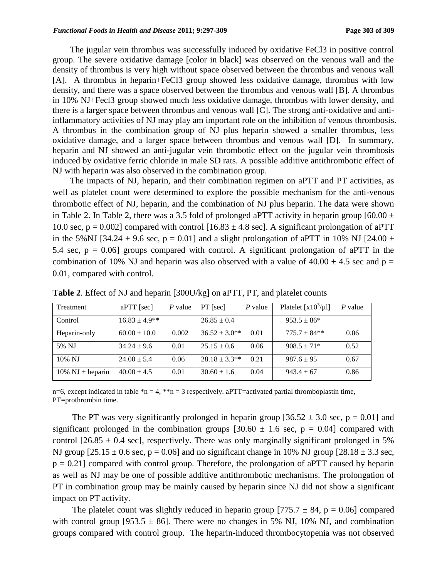The jugular vein thrombus was successfully induced by oxidative FeCl3 in positive control group. The severe oxidative damage [color in black] was observed on the venous wall and the density of thrombus is very high without space observed between the thrombus and venous wall [A]. A thrombus in heparin+FeCl3 group showed less oxidative damage, thrombus with low density, and there was a space observed between the thrombus and venous wall [B]. A thrombus in 10% NJ+Fecl3 group showed much less oxidative damage, thrombus with lower density, and there is a larger space between thrombus and venous wall [C]. The strong anti-oxidative and antiinflammatory activities of NJ may play am important role on the inhibition of venous thrombosis. A thrombus in the combination group of NJ plus heparin showed a smaller thrombus, less oxidative damage, and a larger space between thrombus and venous wall [D]. In summary, heparin and NJ showed an anti-jugular vein thrombotic effect on the jugular vein thrombosis induced by oxidative ferric chloride in male SD rats. A possible additive antithrombotic effect of NJ with heparin was also observed in the combination group.

 The impacts of NJ, heparin, and their combination regimen on aPTT and PT activities, as well as platelet count were determined to explore the possible mechanism for the anti-venous thrombotic effect of NJ, heparin, and the combination of NJ plus heparin. The data were shown in Table 2. In Table 2, there was a 3.5 fold of prolonged aPTT activity in heparin group  $[60.00 \pm 1.000]$ 10.0 sec,  $p = 0.002$  compared with control [16.83  $\pm$  4.8 sec]. A significant prolongation of aPTT in the 5%NJ [34.24  $\pm$  9.6 sec, p = 0.01] and a slight prolongation of aPTT in 10% NJ [24.00  $\pm$ 5.4 sec,  $p = 0.06$ ] groups compared with control. A significant prolongation of aPTT in the combination of 10% NJ and heparin was also observed with a value of  $40.00 \pm 4.5$  sec and p = 0.01, compared with control.

| Treatment                          | $aPTT$ [sec]      | $P$ value | $PT$ [sec]           | $P$ value | Platelet $[x10^3/\mu]$ | P value |
|------------------------------------|-------------------|-----------|----------------------|-----------|------------------------|---------|
| Control                            | $16.83 \pm 4.9**$ |           | $26.85 \pm 0.4$      |           | $953.5 \pm 86*$        |         |
| Heparin-only                       | $60.00 \pm 10.0$  | 0.002     | $36.52 \pm 3.0^{**}$ | 0.01      | $775.7 \pm 84**$       | 0.06    |
| 5% NJ                              | $34.24 \pm 9.6$   | 0.01      | $25.15 \pm 0.6$      | 0.06      | $908.5 \pm 71*$        | 0.52    |
| $10\%$ NJ                          | $24.00 \pm 5.4$   | 0.06      | $28.18 \pm 3.3**$    | 0.21      | $987.6 \pm 95$         | 0.67    |
| $10\% \text{ NJ} + \text{heparin}$ | $40.00 \pm 4.5$   | 0.01      | $30.60 \pm 1.6$      | 0.04      | $943.4 \pm 67$         | 0.86    |

**Table 2**. Effect of NJ and heparin [300U/kg] on aPTT, PT, and platelet counts

n=6, except indicated in table  $m = 4$ ,  $m = 3$  respectively. a PTT=activated partial thromboplastin time, PT=prothrombin time.

The PT was very significantly prolonged in heparin group  $[36.52 \pm 3.0 \text{ sec}, p = 0.01]$  and significant prolonged in the combination groups  $[30.60 \pm 1.6 \text{ sec}, p = 0.04]$  compared with control [26.85  $\pm$  0.4 sec], respectively. There was only marginally significant prolonged in 5% NJ group  $[25.15 \pm 0.6 \text{ sec}, p = 0.06]$  and no significant change in 10% NJ group  $[28.18 \pm 3.3 \text{ sec},$  $p = 0.21$ ] compared with control group. Therefore, the prolongation of aPTT caused by heparin as well as NJ may be one of possible additive antithrombotic mechanisms. The prolongation of PT in combination group may be mainly caused by heparin since NJ did not show a significant impact on PT activity.

The platelet count was slightly reduced in heparin group  $[775.7 \pm 84, p = 0.06]$  compared with control group [953.5  $\pm$  86]. There were no changes in 5% NJ, 10% NJ, and combination groups compared with control group. The heparin-induced thrombocytopenia was not observed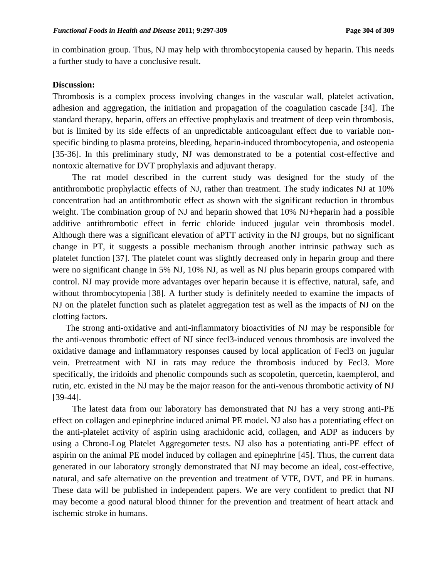in combination group. Thus, NJ may help with thrombocytopenia caused by heparin. This needs a further study to have a conclusive result.

#### **Discussion:**

Thrombosis is a complex process involving changes in the vascular wall, platelet activation, adhesion and aggregation, the initiation and propagation of the coagulation cascade [34]. The standard therapy, heparin, offers an effective prophylaxis and treatment of deep vein thrombosis, but is limited by its side effects of an unpredictable anticoagulant effect due to variable nonspecific binding to plasma proteins, bleeding, heparin-induced thrombocytopenia, and osteopenia [35-36]. In this preliminary study, NJ was demonstrated to be a potential cost-effective and nontoxic alternative for DVT prophylaxis and adjuvant therapy.

 The rat model described in the current study was designed for the study of the antithrombotic prophylactic effects of NJ, rather than treatment. The study indicates NJ at 10% concentration had an antithrombotic effect as shown with the significant reduction in thrombus weight. The combination group of NJ and heparin showed that 10% NJ+heparin had a possible additive antithrombotic effect in ferric chloride induced jugular vein thrombosis model. Although there was a significant elevation of aPTT activity in the NJ groups, but no significant change in PT, it suggests a possible mechanism through another intrinsic pathway such as platelet function [37]. The platelet count was slightly decreased only in heparin group and there were no significant change in 5% NJ, 10% NJ, as well as NJ plus heparin groups compared with control. NJ may provide more advantages over heparin because it is effective, natural, safe, and without thrombocytopenia [38]. A further study is definitely needed to examine the impacts of NJ on the platelet function such as platelet aggregation test as well as the impacts of NJ on the clotting factors.

 The strong anti-oxidative and anti-inflammatory bioactivities of NJ may be responsible for the anti-venous thrombotic effect of NJ since fecl3-induced venous thrombosis are involved the oxidative damage and inflammatory responses caused by local application of Fecl3 on jugular vein. Pretreatment with NJ in rats may reduce the thrombosis induced by Fecl3. More specifically, the iridoids and phenolic compounds such as scopoletin, quercetin, kaempferol, and rutin, etc. existed in the NJ may be the major reason for the anti-venous thrombotic activity of NJ [39-44].

 The latest data from our laboratory has demonstrated that NJ has a very strong anti-PE effect on collagen and epinephrine induced animal PE model. NJ also has a potentiating effect on the anti-platelet activity of aspirin using arachidonic acid, collagen, and ADP as inducers by using a Chrono-Log Platelet Aggregometer tests. NJ also has a potentiating anti-PE effect of aspirin on the animal PE model induced by collagen and epinephrine [45]. Thus, the current data generated in our laboratory strongly demonstrated that NJ may become an ideal, cost-effective, natural, and safe alternative on the prevention and treatment of VTE, DVT, and PE in humans. These data will be published in independent papers. We are very confident to predict that NJ may become a good natural blood thinner for the prevention and treatment of heart attack and ischemic stroke in humans.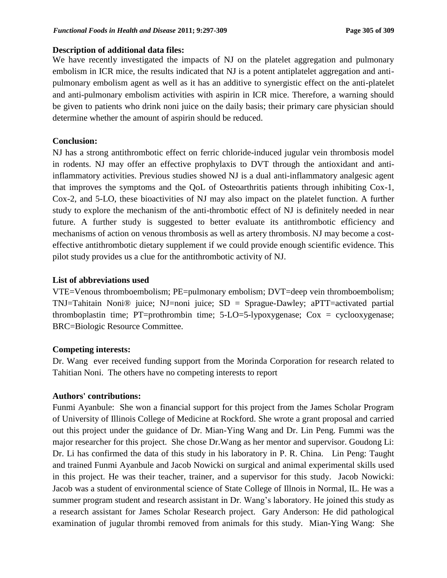### **Description of additional data files:**

We have recently investigated the impacts of NJ on the platelet aggregation and pulmonary embolism in ICR mice, the results indicated that NJ is a potent antiplatelet aggregation and antipulmonary embolism agent as well as it has an additive to synergistic effect on the anti-platelet and anti-pulmonary embolism activities with aspirin in ICR mice. Therefore, a warning should be given to patients who drink noni juice on the daily basis; their primary care physician should determine whether the amount of aspirin should be reduced.

### **Conclusion:**

NJ has a strong antithrombotic effect on ferric chloride-induced jugular vein thrombosis model in rodents. NJ may offer an effective prophylaxis to DVT through the antioxidant and antiinflammatory activities. Previous studies showed NJ is a dual anti-inflammatory analgesic agent that improves the symptoms and the QoL of Osteoarthritis patients through inhibiting Cox-1, Cox-2, and 5-LO, these bioactivities of NJ may also impact on the platelet function. A further study to explore the mechanism of the anti-thrombotic effect of NJ is definitely needed in near future. A further study is suggested to better evaluate its antithrombotic efficiency and mechanisms of action on venous thrombosis as well as artery thrombosis. NJ may become a costeffective antithrombotic dietary supplement if we could provide enough scientific evidence. This pilot study provides us a clue for the antithrombotic activity of NJ.

### **List of abbreviations used**

VTE=Venous thromboembolism; PE=pulmonary embolism; DVT=deep vein thromboembolism; TNJ=Tahitain Noni® juice; NJ=noni juice; SD = Sprague-Dawley; aPTT=activated partial thromboplastin time; PT=prothrombin time; 5-LO=5-lypoxygenase; Cox = cyclooxygenase; BRC=Biologic Resource Committee.

### **Competing interests:**

Dr. Wang ever received funding support from the Morinda Corporation for research related to Tahitian Noni. The others have no competing interests to report

### **Authors' contributions:**

Funmi Ayanbule: She won a financial support for this project from the James Scholar Program of University of Illinois College of Medicine at Rockford. She wrote a grant proposal and carried out this project under the guidance of Dr. Mian-Ying Wang and Dr. Lin Peng. Fummi was the major researcher for this project. She chose Dr.Wang as her mentor and supervisor. Goudong Li: Dr. Li has confirmed the data of this study in his laboratory in P. R. China. Lin Peng: Taught and trained Funmi Ayanbule and Jacob Nowicki on surgical and animal experimental skills used in this project. He was their teacher, trainer, and a supervisor for this study. Jacob Nowicki: Jacob was a student of environmental science of State College of Illnois in Normal, IL. He was a summer program student and research assistant in Dr. Wang's laboratory. He joined this study as a research assistant for James Scholar Research project. Gary Anderson: He did pathological examination of jugular thrombi removed from animals for this study. Mian-Ying Wang: She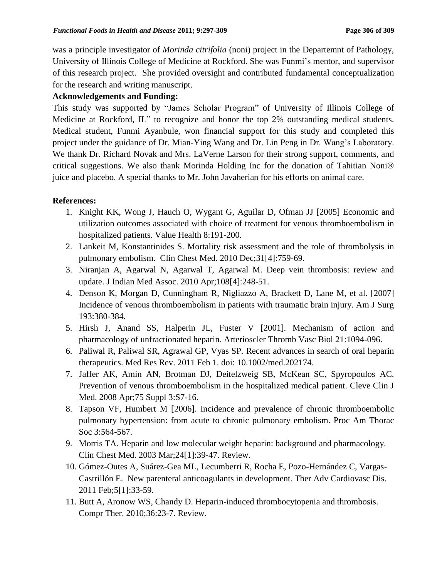was a principle investigator of *Morinda citrifolia* (noni) project in the Departemnt of Pathology, University of Illinois College of Medicine at Rockford. She was Funmi's mentor, and supervisor of this research project. She provided oversight and contributed fundamental conceptualization for the research and writing manuscript.

### **Acknowledgements and Funding:**

This study was supported by "James Scholar Program" of University of Illinois College of Medicine at Rockford, IL" to recognize and honor the top 2% outstanding medical students. Medical student, Funmi Ayanbule, won financial support for this study and completed this project under the guidance of Dr. Mian-Ying Wang and Dr. Lin Peng in Dr. Wang's Laboratory. We thank Dr. Richard Novak and Mrs. LaVerne Larson for their strong support, comments, and critical suggestions. We also thank Morinda Holding Inc for the donation of Tahitian Noni® juice and placebo. A special thanks to Mr. John Javaherian for his efforts on animal care.

### **References:**

- 1. Knight KK, Wong J, Hauch O, Wygant G, Aguilar D, Ofman JJ [2005] Economic and utilization outcomes associated with choice of treatment for venous thromboembolism in hospitalized patients. Value Health 8:191-200.
- 2. Lankeit M, Konstantinides S. Mortality risk assessment and the role of thrombolysis in pulmonary embolism. Clin Chest Med. 2010 Dec;31[4]:759-69.
- 3. Niranjan A, Agarwal N, Agarwal T, Agarwal M. Deep vein thrombosis: review and update. J Indian Med Assoc. 2010 Apr;108[4]:248-51.
- 4. Denson K, Morgan D, Cunningham R, Nigliazzo A, Brackett D, Lane M, et al. [2007] Incidence of venous thromboembolism in patients with traumatic brain injury. Am J Surg 193:380-384.
- 5. Hirsh J, Anand SS, Halperin JL, Fuster V [2001]. Mechanism of action and pharmacology of unfractionated heparin. Arterioscler Thromb Vasc Biol 21:1094-096.
- 6. Paliwal R, Paliwal SR, Agrawal GP, Vyas SP. Recent advances in search of oral heparin therapeutics. Med Res Rev. 2011 Feb 1. doi: 10.1002/med.202174.
- 7. Jaffer AK, Amin AN, Brotman DJ, Deitelzweig SB, McKean SC, Spyropoulos AC. Prevention of venous thromboembolism in the hospitalized medical patient. Cleve Clin J Med. 2008 Apr;75 Suppl 3:S7-16.
- 8. Tapson VF, Humbert M [2006]. Incidence and prevalence of chronic thromboembolic pulmonary hypertension: from acute to chronic pulmonary embolism. Proc Am Thorac Soc 3:564-567.
- 9. Morris TA. Heparin and low molecular weight heparin: background and pharmacology. Clin Chest Med. 2003 Mar;24[1]:39-47. Review.
- 10. Gómez-Outes A, Suárez-Gea ML, Lecumberri R, Rocha E, Pozo-Hernández C, Vargas-Castrillón E. New parenteral anticoagulants in development. Ther Adv Cardiovasc Dis. 2011 Feb;5[1]:33-59.
- 11. Butt A, Aronow WS, Chandy D. Heparin-induced thrombocytopenia and thrombosis. Compr Ther. 2010;36:23-7. Review.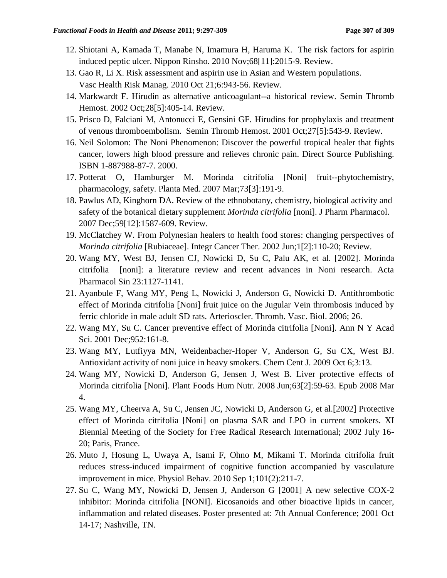- 12. Shiotani A, Kamada T, Manabe N, Imamura H, Haruma K. The risk factors for aspirin induced peptic ulcer. Nippon Rinsho. 2010 Nov;68[11]:2015-9. Review.
- 13. Gao R, Li X. Risk assessment and aspirin use in Asian and Western populations. Vasc Health Risk Manag. 2010 Oct 21;6:943-56. Review.
- 14. Markwardt F. Hirudin as alternative anticoagulant--a historical review. Semin Thromb Hemost. 2002 Oct;28[5]:405-14. Review.
- 15. Prisco D, Falciani M, Antonucci E, Gensini GF. Hirudins for prophylaxis and treatment of venous thromboembolism. Semin Thromb Hemost. 2001 Oct;27[5]:543-9. Review.
- 16. Neil Solomon: The Noni Phenomenon: Discover the powerful tropical healer that fights cancer, lowers high blood pressure and relieves chronic pain. Direct Source Publishing. ISBN 1-887988-87-7. 2000.
- 17. Potterat O, Hamburger M. Morinda citrifolia [Noni] fruit--phytochemistry, pharmacology, safety. Planta Med. 2007 Mar;73[3]:191-9.
- 18. Pawlus AD, Kinghorn DA. Review of the ethnobotany, chemistry, biological activity and safety of the botanical dietary supplement *Morinda citrifolia* [noni]. J Pharm Pharmacol. 2007 Dec;59[12]:1587-609. Review.
- 19. McClatchey W. [From Polynesian healers to health food stores: changing perspectives of](http://www.ncbi.nlm.nih.gov/pubmed/14664736)  *[Morinda citrifolia](http://www.ncbi.nlm.nih.gov/pubmed/14664736)* [Rubiaceae]. Integr Cancer Ther. 2002 Jun;1[2]:110-20; Review.
- 20. Wang MY, West BJ, Jensen CJ, Nowicki D, Su C, Palu AK, et al. [2002]. Morinda citrifolia [noni]: a literature review and recent advances in Noni research. Acta Pharmacol Sin 23:1127-1141.
- 21. Ayanbule F, Wang MY, Peng L, Nowicki J, Anderson G, Nowicki D. Antithrombotic effect of Morinda citrifolia [Noni] fruit juice on the Jugular Vein thrombosis induced by ferric chloride in male adult SD rats. Arterioscler. Thromb. Vasc. Biol. 2006; 26.
- 22. Wang MY, Su C. Cancer preventive effect of Morinda citrifolia [Noni]. Ann N Y Acad Sci. 2001 Dec;952:161-8.
- 23. Wang MY, Lutfiyya MN, Weidenbacher-Hoper V, Anderson G, Su CX, West BJ. Antioxidant activity of noni juice in heavy smokers. Chem Cent J. 2009 Oct 6;3:13.
- 24. Wang MY, Nowicki D, Anderson G, Jensen J, West B. Liver protective effects of Morinda citrifolia [Noni]. Plant Foods Hum Nutr. 2008 Jun;63[2]:59-63. Epub 2008 Mar 4.
- 25. Wang MY, Cheerva A, Su C, Jensen JC, Nowicki D, Anderson G, et al.[2002] Protective effect of Morinda citrifolia [Noni] on plasma SAR and LPO in current smokers. XI Biennial Meeting of the Society for Free Radical Research International; 2002 July 16- 20; Paris, France.
- 26. Muto J, Hosung L, Uwaya A, Isami F, Ohno M, Mikami T. Morinda citrifolia fruit reduces stress-induced impairment of cognitive function accompanied by vasculature improvement in mice. Physiol Behav. 2010 Sep 1;101(2):211-7.
- 27. Su C, Wang MY, Nowicki D, Jensen J, Anderson G [2001] A new selective COX-2 inhibitor: Morinda citrifolia [NONI]. Eicosanoids and other bioactive lipids in cancer, inflammation and related diseases. Poster presented at: 7th Annual Conference; 2001 Oct 14-17; Nashville, TN.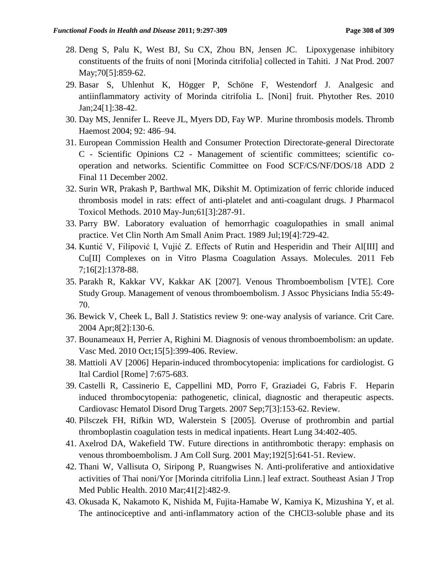- 28. Deng S, Palu K, West BJ, Su CX, Zhou BN, Jensen JC. Lipoxygenase inhibitory constituents of the fruits of noni [Morinda citrifolia] collected in Tahiti. J Nat Prod. 2007 May;70[5]:859-62.
- 29. Basar S, Uhlenhut K, Högger P, Schöne F, Westendorf J. Analgesic and antiinflammatory activity of Morinda citrifolia L. [Noni] fruit. Phytother Res. 2010 Jan;24[1]:38-42.
- 30. Day MS, Jennifer L. Reeve JL, Myers DD, Fay WP. Murine thrombosis models. Thromb Haemost 2004; 92: 486–94.
- 31. European Commission Health and Consumer Protection Directorate-general Directorate C - Scientific Opinions C2 - Management of scientific committees; scientific cooperation and networks. Scientific Committee on Food SCF/CS/NF/DOS/18 ADD 2 Final 11 December 2002.
- 32. Surin WR, Prakash P, Barthwal MK, Dikshit M. Optimization of ferric chloride induced thrombosis model in rats: effect of anti-platelet and anti-coagulant drugs. J Pharmacol Toxicol Methods. 2010 May-Jun;61[3]:287-91.
- 33. Parry BW. Laboratory evaluation of hemorrhagic coagulopathies in small animal practice. Vet Clin North Am Small Anim Pract. 1989 Jul;19[4]:729-42.
- 34. Kuntić V, Filipović I, Vujić Z. Effects of Rutin and Hesperidin and Their Al[III] and Cu[II] Complexes on in Vitro Plasma Coagulation Assays. Molecules. 2011 Feb 7;16[2]:1378-88.
- 35. Parakh R, Kakkar VV, Kakkar AK [2007]. Venous Thromboembolism [VTE]. Core Study Group. Management of venous thromboembolism. J Assoc Physicians India 55:49- 70.
- 36. Bewick V, Cheek L, Ball J. Statistics review 9: one-way analysis of variance. Crit Care. 2004 Apr;8[2]:130-6.
- 37. Bounameaux H, Perrier A, Righini M. Diagnosis of venous thromboembolism: an update. Vasc Med. 2010 Oct;15[5]:399-406. Review.
- 38. Mattioli AV [2006] Heparin-induced thrombocytopenia: implications for cardiologist. G Ital Cardiol [Rome] 7:675-683.
- 39. Castelli R, Cassinerio E, Cappellini MD, Porro F, Graziadei G, Fabris F. [Heparin](http://www.ncbi.nlm.nih.gov/pubmed/17896955)  [induced thrombocytopenia: pathogenetic, clinical, diagnostic and therapeutic aspects.](http://www.ncbi.nlm.nih.gov/pubmed/17896955) Cardiovasc Hematol Disord Drug Targets. 2007 Sep;7[3]:153-62. Review.
- 40. Pilsczek FH, Rifkin WD, Walerstein S [2005]. Overuse of prothrombin and partial thromboplastin coagulation tests in medical inpatients. Heart Lung 34:402-405.
- 41. Axelrod DA, Wakefield TW. Future directions in antithrombotic therapy: emphasis on venous thromboembolism. J Am Coll Surg. 2001 May;192[5]:641-51. Review.
- 42. Thani W, Vallisuta O, Siripong P, Ruangwises N. Anti-proliferative and antioxidative activities of Thai noni/Yor [Morinda citrifolia Linn.] leaf extract. Southeast Asian J Trop Med Public Health. 2010 Mar;41[2]:482-9.
- 43. Okusada K, Nakamoto K, Nishida M, Fujita-Hamabe W, Kamiya K, Mizushina Y, et al. The antinociceptive and anti-inflammatory action of the CHCl3-soluble phase and its